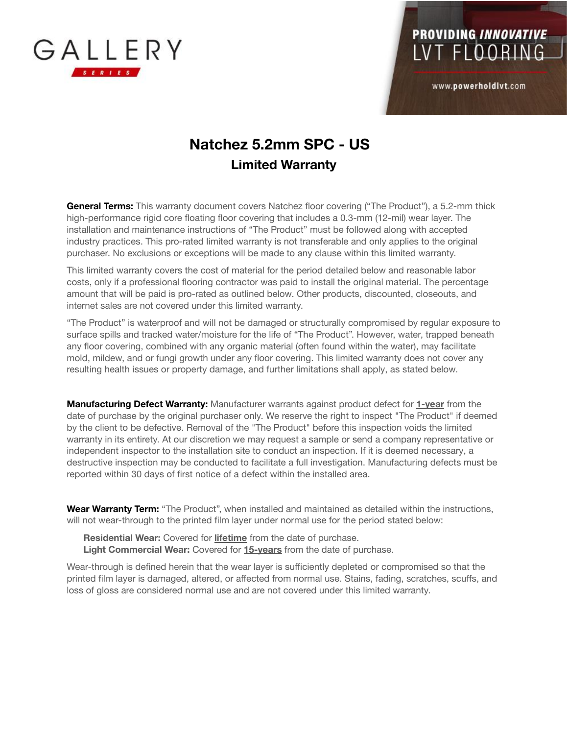



www.powerholdlvt.com

## **Natchez 5.2mm SPC - US Limited Warranty**

**General Terms:** This warranty document covers Natchez floor covering ("The Product"), a 5.2-mm thick high-performance rigid core floating floor covering that includes a 0.3-mm (12-mil) wear layer. The installation and maintenance instructions of "The Product" must be followed along with accepted industry practices. This pro-rated limited warranty is not transferable and only applies to the original purchaser. No exclusions or exceptions will be made to any clause within this limited warranty.

This limited warranty covers the cost of material for the period detailed below and reasonable labor costs, only if a professional flooring contractor was paid to install the original material. The percentage amount that will be paid is pro-rated as outlined below. Other products, discounted, closeouts, and internet sales are not covered under this limited warranty.

"The Product" is waterproof and will not be damaged or structurally compromised by regular exposure to surface spills and tracked water/moisture for the life of "The Product". However, water, trapped beneath any floor covering, combined with any organic material (often found within the water), may facilitate mold, mildew, and or fungi growth under any floor covering. This limited warranty does not cover any resulting health issues or property damage, and further limitations shall apply, as stated below.

**Manufacturing Defect Warranty:** Manufacturer warrants against product defect for **1-year** from the date of purchase by the original purchaser only. We reserve the right to inspect "The Product" if deemed by the client to be defective. Removal of the "The Product" before this inspection voids the limited warranty in its entirety. At our discretion we may request a sample or send a company representative or independent inspector to the installation site to conduct an inspection. If it is deemed necessary, a destructive inspection may be conducted to facilitate a full investigation. Manufacturing defects must be reported within 30 days of first notice of a defect within the installed area.

**Wear Warranty Term:** "The Product", when installed and maintained as detailed within the instructions, will not wear-through to the printed film layer under normal use for the period stated below:

**Residential Wear:** Covered for **lifetime** from the date of purchase. **Light Commercial Wear:** Covered for **15-years** from the date of purchase.

Wear-through is defined herein that the wear layer is sufficiently depleted or compromised so that the printed film layer is damaged, altered, or affected from normal use. Stains, fading, scratches, scuffs, and loss of gloss are considered normal use and are not covered under this limited warranty.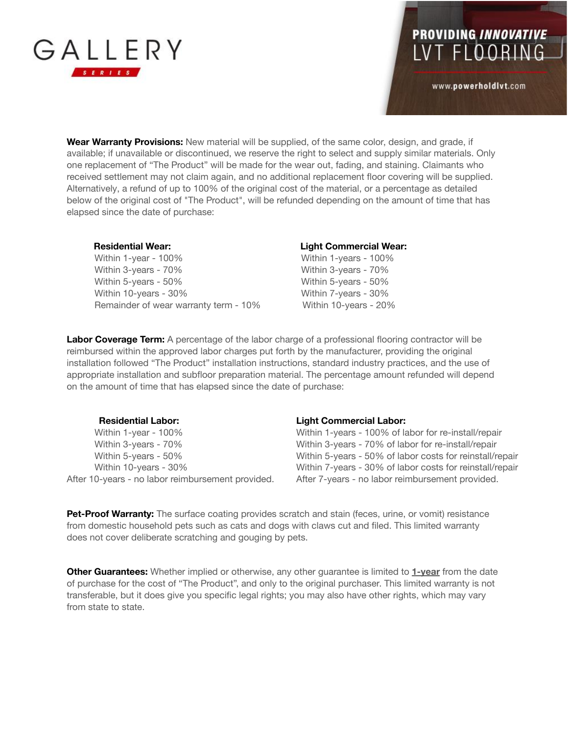

## PROVIDING INNOVATIVE<br>LVT FLOORING

www.powerholdlvt.com

**Wear Warranty Provisions:** New material will be supplied, of the same color, design, and grade, if available; if unavailable or discontinued, we reserve the right to select and supply similar materials. Only one replacement of "The Product" will be made for the wear out, fading, and staining. Claimants who received settlement may not claim again, and no additional replacement floor covering will be supplied. Alternatively, a refund of up to 100% of the original cost of the material, or a percentage as detailed below of the original cost of "The Product", will be refunded depending on the amount of time that has elapsed since the date of purchase:

Within 1-year - 100% Mithin 1-years - 100% Within 3-years - 70% Within 3-years - 70% Within 5-years - 50% Within 5-years - 50% Within 10-years - 30% Within 7-years - 30% Remainder of wear warranty term - 10% Within 10-years - 20%

## **Residential Wear: Light Commercial Wear:**

**Labor Coverage Term:** A percentage of the labor charge of a professional flooring contractor will be reimbursed within the approved labor charges put forth by the manufacturer, providing the original installation followed "The Product" installation instructions, standard industry practices, and the use of appropriate installation and subfloor preparation material. The percentage amount refunded will depend on the amount of time that has elapsed since the date of purchase:

# **Residential Labor: Light Commercial Labor:**

After 10-years - no labor reimbursement provided. After 7-years - no labor reimbursement provided.

Within 1-year - 100% Within 1-years - 100% of labor for re-install/repair Within 3-years - 70% Within 3-years - 70% of labor for re-install/repair Within 5-years - 50% Within 5-years - 50% of labor costs for reinstall/repair Within 10-years - 30% Within 7-years - 30% of labor costs for reinstall/repair

**Pet-Proof Warranty:** The surface coating provides scratch and stain (feces, urine, or vomit) resistance from domestic household pets such as cats and dogs with claws cut and filed. This limited warranty does not cover deliberate scratching and gouging by pets.

**Other Guarantees:** Whether implied or otherwise, any other guarantee is limited to **1-year** from the date of purchase for the cost of "The Product", and only to the original purchaser. This limited warranty is not transferable, but it does give you specific legal rights; you may also have other rights, which may vary from state to state.